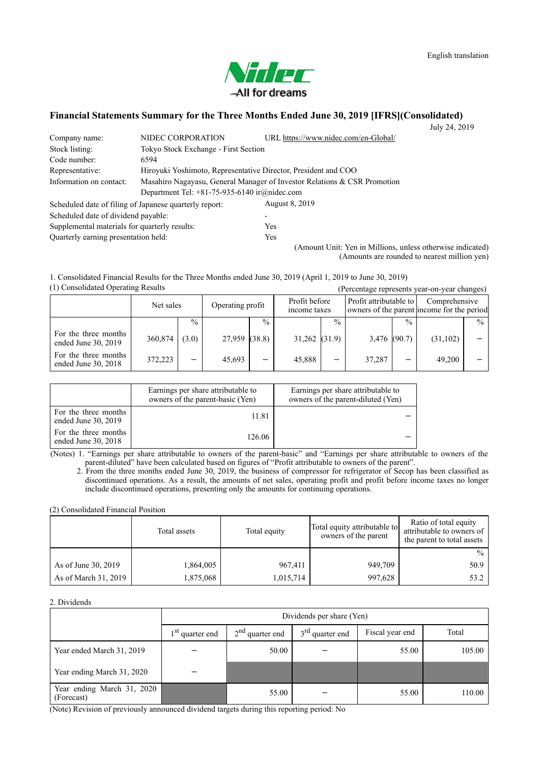

#### **Financial Statements Summary for the Three Months Ended June 30, 2019 [IFRS](Consolidated)** July  $24, 2019$

| Company name:                                 | NIDEC CORPORATION                                              |      | URL https://www.nidec.com/en-Global/                                     |  |
|-----------------------------------------------|----------------------------------------------------------------|------|--------------------------------------------------------------------------|--|
| Stock listing:                                | Tokyo Stock Exchange - First Section                           |      |                                                                          |  |
| Code number:                                  | 6594                                                           |      |                                                                          |  |
| Representative:                               | Hiroyuki Yoshimoto, Representative Director, President and COO |      |                                                                          |  |
| Information on contact:                       |                                                                |      | Masahiro Nagayasu, General Manager of Investor Relations & CSR Promotion |  |
|                                               | Department Tel: $+81-75-935-6140$ ir $@nidec.com$              |      |                                                                          |  |
|                                               | Scheduled date of filing of Japanese quarterly report:         |      | August 8, 2019                                                           |  |
| Scheduled date of dividend payable:           |                                                                |      |                                                                          |  |
| Supplemental materials for quarterly results: |                                                                | Yes  |                                                                          |  |
| Quarterly earning presentation held:          |                                                                | Yes. |                                                                          |  |
|                                               |                                                                |      | (Amount Unit: Yen in Millions, unless otherwise indicated)               |  |

(Amounts are rounded to nearest million yen)

(1) Consolidated Operating Results (Percentage represents year-on-year changes) 1. Consolidated Financial Results for the Three Months ended June 30, 2019 (April 1, 2019 to June 30, 2019)

|                                               | Net sales |               | Operating profit |               | Profit before<br>income taxes |               | Profit attributable to |               | Comprehensive<br>owners of the parent income for the period |               |
|-----------------------------------------------|-----------|---------------|------------------|---------------|-------------------------------|---------------|------------------------|---------------|-------------------------------------------------------------|---------------|
|                                               |           | $\frac{0}{0}$ |                  | $\frac{0}{0}$ |                               | $\frac{0}{0}$ |                        | $\frac{0}{0}$ |                                                             | $\frac{0}{0}$ |
| For the three months<br>ended June 30, 2019   | 360,874   | (3.0)         | 27,959 (38.8)    |               | $31,262$ (31.9)               |               | 3,476 (90.7)           |               | (31, 102)                                                   |               |
| For the three months<br>ended June $30, 2018$ | 372,223   | —             | 45,693           | -             | 45,888                        |               | 37,287                 |               | 49,200                                                      |               |

|                                               | Earnings per share attributable to<br>owners of the parent-basic (Yen) | Earnings per share attributable to<br>owners of the parent-diluted (Yen) |
|-----------------------------------------------|------------------------------------------------------------------------|--------------------------------------------------------------------------|
| For the three months<br>ended June 30, 2019   | 11.81                                                                  |                                                                          |
| For the three months<br>ended June $30, 2018$ | 126.06                                                                 |                                                                          |

(Notes) 1. "Earnings per share attributable to owners of the parent-basic" and "Earnings per share attributable to owners of the parent-diluted" have been calculated based on figures of "Profit attributable to owners of the parent".

2. From the three months ended June 30, 2019, the business of compressor for refrigerator of Secop has been classified as discontinued operations. As a result, the amounts of net sales, operating profit and profit before income taxes no longer include discontinued operations, presenting only the amounts for continuing operations.

(2) Consolidated Financial Position

|                      | Total assets | Total equity | Total equity attributable to<br>owners of the parent | Ratio of total equity<br>attributable to owners of<br>the parent to total assets |
|----------------------|--------------|--------------|------------------------------------------------------|----------------------------------------------------------------------------------|
|                      |              |              |                                                      | $\frac{0}{0}$                                                                    |
| As of June 30, 2019  | 1,864,005    | 967,411      | 949,709                                              | 50.9                                                                             |
| As of March 31, 2019 | 1,875,068    | 1,015,714    | 997,628                                              | 53.2                                                                             |

2. Dividends

|                                          |                             | Dividends per share (Yen) |                             |                 |        |  |  |  |  |
|------------------------------------------|-----------------------------|---------------------------|-----------------------------|-----------------|--------|--|--|--|--|
|                                          | 1 <sup>st</sup> quarter end | $2nd$ quarter end         | 3 <sup>rd</sup> quarter end | Fiscal year end | Total  |  |  |  |  |
| Year ended March 31, 2019                |                             | 50.00                     |                             | 55.00           | 105.00 |  |  |  |  |
| Year ending March 31, 2020               |                             |                           |                             |                 |        |  |  |  |  |
| Year ending March 31, 2020<br>(Forecast) |                             | 55.00                     |                             | 55.00           | 110.00 |  |  |  |  |

(Note) Revision of previously announced dividend targets during this reporting period: No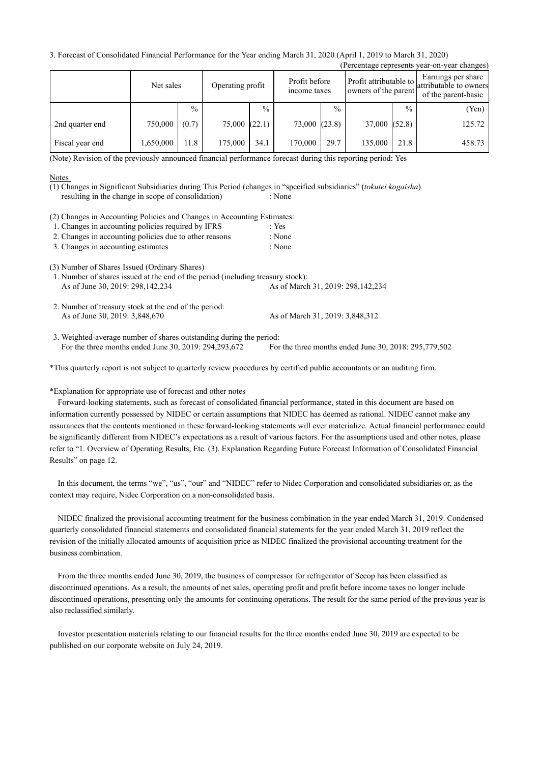3. Forecast of Consolidated Financial Performance for the Year ending March 31, 2020 (April 1, 2019 to March 31, 2020)

|                 |           |               |              |                                                   |              |               |                                                |               | (Percentage represents year-on-year changes)                        |
|-----------------|-----------|---------------|--------------|---------------------------------------------------|--------------|---------------|------------------------------------------------|---------------|---------------------------------------------------------------------|
|                 | Net sales |               |              | Profit before<br>Operating profit<br>income taxes |              |               | Profit attributable to<br>owners of the parent |               | Earnings per share<br>attributable to owners<br>of the parent-basic |
|                 |           | $\frac{0}{0}$ |              | $\frac{0}{0}$                                     |              | $\frac{0}{0}$ |                                                | $\frac{0}{0}$ | (Yen)                                                               |
| 2nd quarter end | 750,000   | (0.7)         | 75,000(22.1) |                                                   | 73,000(23.8) |               | 37,000(52.8)                                   |               | 125.72                                                              |
| Fiscal year end | 1,650,000 | 11.8          | 175,000      | 34.1                                              | 170,000      | 29.7          | 135,000                                        | 21.8          | 458.73                                                              |

(Note) Revision of the previously announced financial performance forecast during this reporting period: Yes

#### Notes

resulting in the change in scope of consolidation) : None (1) Changes in Significant Subsidiaries during This Period (changes in "specified subsidiaries" (*tokutei kogaisha*)

(2) Changes in Accounting Policies and Changes in Accounting Estimates:

|  |  | 1. Changes in accounting policies required by IFRS |  | : Yes |
|--|--|----------------------------------------------------|--|-------|
|--|--|----------------------------------------------------|--|-------|

- 2. Changes in accounting policies due to other reasons : None
- 3. Changes in accounting estimates : None

(3) Number of Shares Issued (Ordinary Shares)

- As of June 30, 2019: 298,142,234 As of March 31, 2019: 298,142,234 1. Number of shares issued at the end of the period (including treasury stock):
- As of June 30, 2019: 3,848,670 As of March 31, 2019: 3,848,312 2. Number of treasury stock at the end of the period:

For the three months ended June 30, 2019: 294,293,672 For the three months ended June 30, 2018: 295,779,502 3. Weighted-average number of shares outstanding during the period:

\*This quarterly report is not subject to quarterly review procedures by certified public accountants or an auditing firm.

#### \*Explanation for appropriate use of forecast and other notes

Forward-looking statements, such as forecast of consolidated financial performance, stated in this document are based on information currently possessed by NIDEC or certain assumptions that NIDEC has deemed as rational. NIDEC cannot make any assurances that the contents mentioned in these forward-looking statements will ever materialize. Actual financial performance could be significantly different from NIDEC's expectations as a result of various factors. For the assumptions used and other notes, please refer to "1. Overview of Operating Results, Etc. (3). Explanation Regarding Future Forecast Information of Consolidated Financial Results" on page 12.

In this document, the terms "we", "us", "our" and "NIDEC" refer to Nidec Corporation and consolidated subsidiaries or, as the context may require, Nidec Corporation on a non-consolidated basis.

NIDEC finalized the provisional accounting treatment for the business combination in the year ended March 31, 2019. Condensed quarterly consolidated financial statements and consolidated financial statements for the year ended March 31, 2019 reflect the revision of the initially allocated amounts of acquisition price as NIDEC finalized the provisional accounting treatment for the business combination.

From the three months ended June 30, 2019, the business of compressor for refrigerator of Secop has been classified as discontinued operations. As a result, the amounts of net sales, operating profit and profit before income taxes no longer include discontinued operations, presenting only the amounts for continuing operations. The result for the same period of the previous year is also reclassified similarly.

Investor presentation materials relating to our financial results for the three months ended June 30, 2019 are expected to be published on our corporate website on July 24, 2019.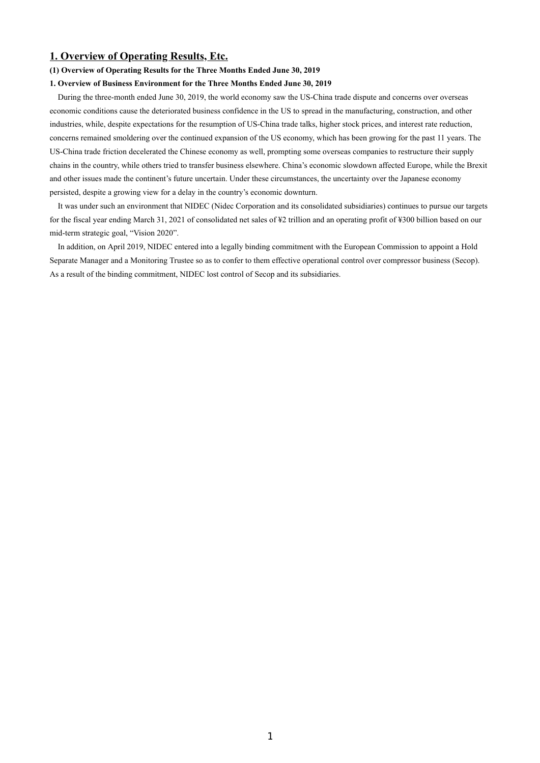# **1. Overview of Operating Results, Etc.**

#### **(1) Overview of Operating Results for the Three Months Ended June 30, 2019**

#### **1. Overview of Business Environment for the Three Months Ended June 30, 2019**

During the three-month ended June 30, 2019, the world economy saw the US-China trade dispute and concerns over overseas economic conditions cause the deteriorated business confidence in the US to spread in the manufacturing, construction, and other industries, while, despite expectations for the resumption of US-China trade talks, higher stock prices, and interest rate reduction, concerns remained smoldering over the continued expansion of the US economy, which has been growing for the past 11 years. The US-China trade friction decelerated the Chinese economy as well, prompting some overseas companies to restructure their supply chains in the country, while others tried to transfer business elsewhere. China's economic slowdown affected Europe, while the Brexit and other issues made the continent's future uncertain. Under these circumstances, the uncertainty over the Japanese economy persisted, despite a growing view for a delay in the country's economic downturn.

It was under such an environment that NIDEC (Nidec Corporation and its consolidated subsidiaries) continues to pursue our targets for the fiscal year ending March 31, 2021 of consolidated net sales of ¥2 trillion and an operating profit of ¥300 billion based on our mid-term strategic goal, "Vision 2020".

In addition, on April 2019, NIDEC entered into a legally binding commitment with the European Commission to appoint a Hold Separate Manager and a Monitoring Trustee so as to confer to them effective operational control over compressor business (Secop). As a result of the binding commitment, NIDEC lost control of Secop and its subsidiaries.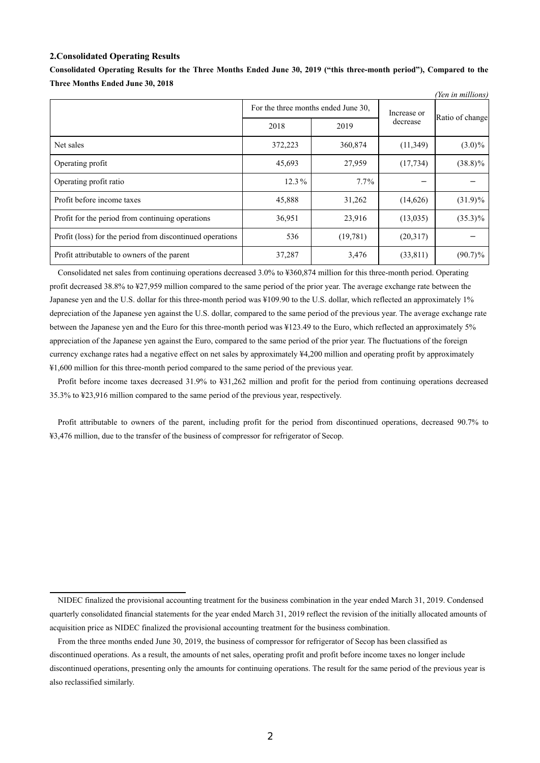#### **2.Consolidated Operating Results**

|                                                           |                                     |          |             | (Yen in millions) |
|-----------------------------------------------------------|-------------------------------------|----------|-------------|-------------------|
|                                                           | For the three months ended June 30, |          | Increase or |                   |
|                                                           | 2018                                | 2019     | decrease    | Ratio of change   |
| Net sales                                                 | 372,223                             | 360,874  | (11,349)    | $(3.0)\%$         |
| Operating profit                                          | 45,693                              | 27,959   | (17, 734)   | $(38.8)\%$        |
| Operating profit ratio                                    | 12.3%                               | $7.7\%$  |             |                   |
| Profit before income taxes                                | 45,888                              | 31,262   | (14,626)    | $(31.9)\%$        |
| Profit for the period from continuing operations          | 36,951                              | 23,916   | (13,035)    | $(35.3)\%$        |
| Profit (loss) for the period from discontinued operations | 536                                 | (19,781) | (20,317)    |                   |
| Profit attributable to owners of the parent               | 37,287                              | 3,476    | (33, 811)   | $(90.7)\%$        |

**Consolidated Operating Results for the Three Months Ended June 30, 2019 ("this three-month period"), Compared to the Three Months Ended June 30, 2018**

Consolidated net sales from continuing operations decreased 3.0% to ¥360,874 million for this three-month period. Operating profit decreased 38.8% to ¥27,959 million compared to the same period of the prior year. The average exchange rate between the Japanese yen and the U.S. dollar for this three-month period was ¥109.90 to the U.S. dollar, which reflected an approximately 1% depreciation of the Japanese yen against the U.S. dollar, compared to the same period of the previous year. The average exchange rate between the Japanese yen and the Euro for this three-month period was ¥123.49 to the Euro, which reflected an approximately 5% appreciation of the Japanese yen against the Euro, compared to the same period of the prior year. The fluctuations of the foreign currency exchange rates had a negative effect on net sales by approximately ¥4,200 million and operating profit by approximately ¥1,600 million for this three-month period compared to the same period of the previous year.

Profit before income taxes decreased 31.9% to ¥31,262 million and profit for the period from continuing operations decreased 35.3% to ¥23,916 million compared to the same period of the previous year, respectively.

Profit attributable to owners of the parent, including profit for the period from discontinued operations, decreased 90.7% to ¥3,476 million, due to the transfer of the business of compressor for refrigerator of Secop.

NIDEC finalized the provisional accounting treatment for the business combination in the year ended March 31, 2019. Condensed quarterly consolidated financial statements for the year ended March 31, 2019 reflect the revision of the initially allocated amounts of acquisition price as NIDEC finalized the provisional accounting treatment for the business combination.

From the three months ended June 30, 2019, the business of compressor for refrigerator of Secop has been classified as discontinued operations. As a result, the amounts of net sales, operating profit and profit before income taxes no longer include discontinued operations, presenting only the amounts for continuing operations. The result for the same period of the previous year is also reclassified similarly.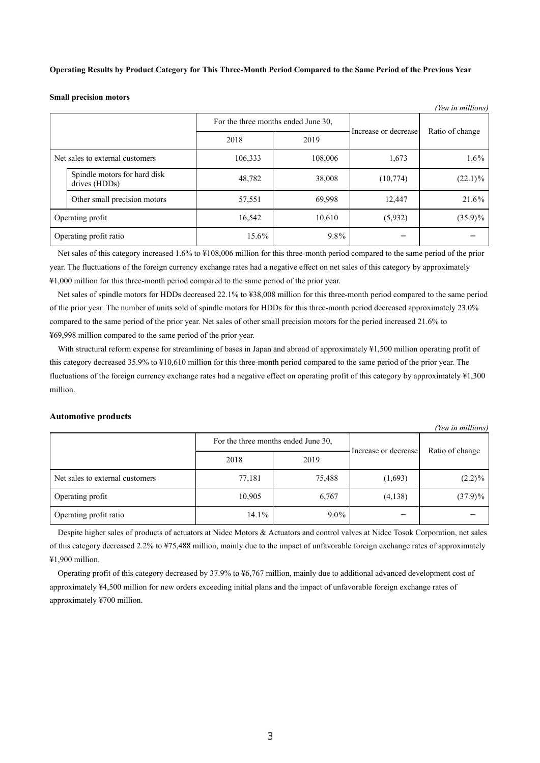**Operating Results by Product Category for This Three-Month Period Compared to the Same Period of the Previous Year**

**Small precision motors**

|                                 | <i>ren in mutions</i>                         |                                     |         |                      |                 |  |  |
|---------------------------------|-----------------------------------------------|-------------------------------------|---------|----------------------|-----------------|--|--|
|                                 |                                               | For the three months ended June 30, |         | Increase or decrease | Ratio of change |  |  |
|                                 |                                               | 2018                                | 2019    |                      |                 |  |  |
| Net sales to external customers |                                               | 106,333                             | 108,006 |                      | $1.6\%$         |  |  |
|                                 | Spindle motors for hard disk<br>drives (HDDs) | 48,782                              | 38,008  | (10, 774)            | $(22.1)\%$      |  |  |
|                                 | Other small precision motors                  | 57,551                              | 69,998  | 12,447               | 21.6%           |  |  |
| Operating profit                |                                               | 16,542                              | 10,610  | (5,932)              | $(35.9)\%$      |  |  |
| Operating profit ratio          |                                               | 15.6%                               | $9.8\%$ |                      |                 |  |  |

 $\overline{y}$  in  $\overline{y}$ 

*(Yen in millions)*

Net sales of this category increased 1.6% to ¥108,006 million for this three-month period compared to the same period of the prior year. The fluctuations of the foreign currency exchange rates had a negative effect on net sales of this category by approximately ¥1,000 million for this three-month period compared to the same period of the prior year.

Net sales of spindle motors for HDDs decreased 22.1% to ¥38,008 million for this three-month period compared to the same period of the prior year. The number of units sold of spindle motors for HDDs for this three-month period decreased approximately 23.0% compared to the same period of the prior year. Net sales of other small precision motors for the period increased 21.6% to ¥69,998 million compared to the same period of the prior year.

With structural reform expense for streamlining of bases in Japan and abroad of approximately ¥1,500 million operating profit of this category decreased 35.9% to ¥10,610 million for this three-month period compared to the same period of the prior year. The fluctuations of the foreign currency exchange rates had a negative effect on operating profit of this category by approximately ¥1,300 million.

#### **Automotive products**

|                                 |                                     |         |                      | (Ten in muttons) |  |
|---------------------------------|-------------------------------------|---------|----------------------|------------------|--|
|                                 | For the three months ended June 30, |         | Increase or decrease |                  |  |
|                                 | 2018                                | 2019    |                      | Ratio of change  |  |
| Net sales to external customers | 77,181                              | 75,488  | (1,693)              | $(2.2)\%$        |  |
| Operating profit                | 10,905                              | 6,767   | (4,138)              | $(37.9)\%$       |  |
| Operating profit ratio          | $14.1\%$                            | $9.0\%$ |                      |                  |  |

Despite higher sales of products of actuators at Nidec Motors & Actuators and control valves at Nidec Tosok Corporation, net sales of this category decreased 2.2% to ¥75,488 million, mainly due to the impact of unfavorable foreign exchange rates of approximately ¥1,900 million.

Operating profit of this category decreased by 37.9% to ¥6,767 million, mainly due to additional advanced development cost of approximately ¥4,500 million for new orders exceeding initial plans and the impact of unfavorable foreign exchange rates of approximately ¥700 million.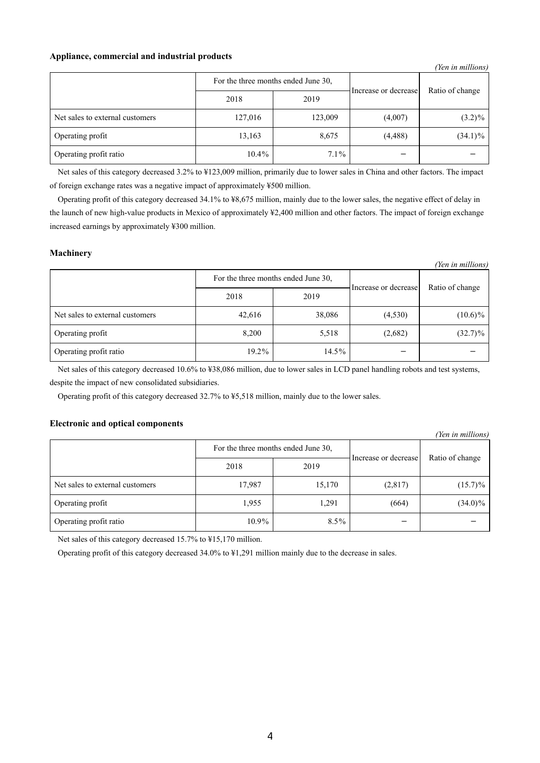### **Appliance, commercial and industrial products**

|                                 |                                     |         |                      | (Yen in millions) |
|---------------------------------|-------------------------------------|---------|----------------------|-------------------|
|                                 | For the three months ended June 30, |         | Increase or decrease | Ratio of change   |
|                                 | 2018                                | 2019    |                      |                   |
| Net sales to external customers | 127,016                             | 123,009 | (4,007)              | $(3.2)\%$         |
| Operating profit                | 13,163                              | 8,675   | (4, 488)             | $(34.1)\%$        |
| Operating profit ratio          | $10.4\%$                            | $7.1\%$ |                      |                   |

Net sales of this category decreased 3.2% to ¥123,009 million, primarily due to lower sales in China and other factors. The impact of foreign exchange rates was a negative impact of approximately ¥500 million.

Operating profit of this category decreased 34.1% to ¥8,675 million, mainly due to the lower sales, the negative effect of delay in the launch of new high-value products in Mexico of approximately ¥2,400 million and other factors. The impact of foreign exchange increased earnings by approximately ¥300 million.

### **Machinery**

|                                 |                                     |        |                      | (Yen in millions) |
|---------------------------------|-------------------------------------|--------|----------------------|-------------------|
|                                 | For the three months ended June 30, |        | Increase or decrease | Ratio of change   |
|                                 | 2018                                | 2019   |                      |                   |
| Net sales to external customers | 42,616                              | 38,086 | (4,530)              | $(10.6)\%$        |
| Operating profit                | 8,200                               | 5,518  | (2,682)              | $(32.7)\%$        |
| Operating profit ratio          | 19.2%                               | 14.5%  |                      |                   |

Net sales of this category decreased 10.6% to ¥38,086 million, due to lower sales in LCD panel handling robots and test systems, despite the impact of new consolidated subsidiaries.

Operating profit of this category decreased 32.7% to ¥5,518 million, mainly due to the lower sales.

## **Electronic and optical components**

|                                 |          |                                     |                      | (Yen in millions) |
|---------------------------------|----------|-------------------------------------|----------------------|-------------------|
|                                 |          | For the three months ended June 30, |                      |                   |
|                                 | 2018     | 2019                                | Increase or decrease | Ratio of change   |
| Net sales to external customers | 17,987   | 15,170                              | (2,817)              | $(15.7)\%$        |
| Operating profit                | 1,955    | 1,291                               | (664)                | $(34.0)\%$        |
| Operating profit ratio          | $10.9\%$ | $8.5\%$                             |                      |                   |

Net sales of this category decreased 15.7% to ¥15,170 million.

Operating profit of this category decreased 34.0% to ¥1,291 million mainly due to the decrease in sales.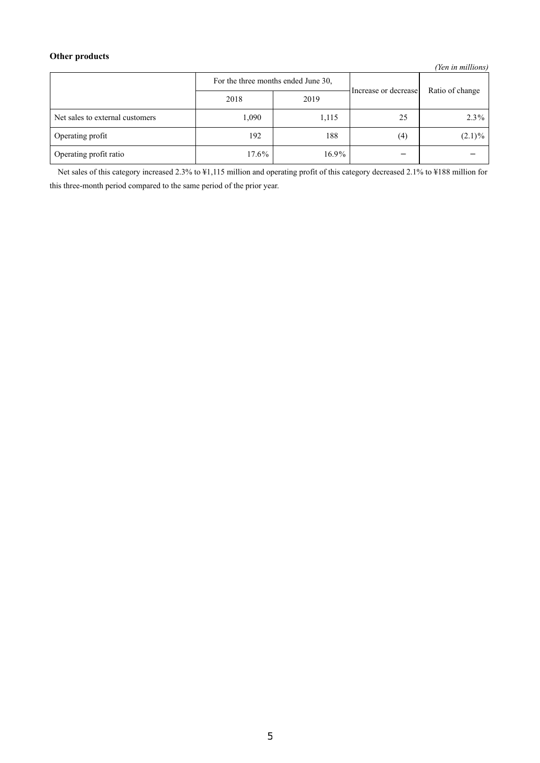# **Other products**

*(Yen in millions)*

|                                 | For the three months ended June 30, |          | Increase or decrease | Ratio of change |
|---------------------------------|-------------------------------------|----------|----------------------|-----------------|
|                                 | 2018                                | 2019     |                      |                 |
| Net sales to external customers | 1,090                               | 1,115    | 25                   | $2.3\%$         |
| Operating profit                | 192                                 | 188      | (4)                  | $(2.1)\%$       |
| Operating profit ratio          | $17.6\%$                            | $16.9\%$ |                      |                 |

Net sales of this category increased 2.3% to ¥1,115 million and operating profit of this category decreased 2.1% to ¥188 million for this three-month period compared to the same period of the prior year.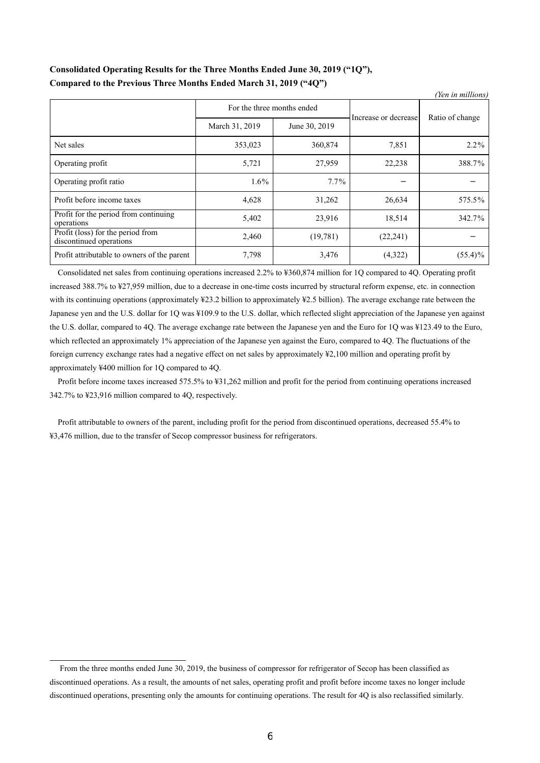# **Consolidated Operating Results for the Three Months Ended June 30, 2019 ("1Q"), Compared to the Previous Three Months Ended March 31, 2019 ("4Q")**

|                                                              |                            |               |                      | (Yen in millions) |
|--------------------------------------------------------------|----------------------------|---------------|----------------------|-------------------|
|                                                              | For the three months ended |               | Increase or decrease | Ratio of change   |
|                                                              | March 31, 2019             | June 30, 2019 |                      |                   |
| Net sales                                                    | 353,023                    | 360,874       | 7,851                | $2.2\%$           |
| Operating profit                                             | 5,721                      | 27,959        | 22,238               | 388.7%            |
| Operating profit ratio                                       | $1.6\%$                    | $7.7\%$       |                      |                   |
| Profit before income taxes                                   | 4,628                      | 31,262        | 26,634               | 575.5%            |
| Profit for the period from continuing<br>operations          | 5,402                      | 23,916        | 18,514               | 342.7%            |
| Profit (loss) for the period from<br>discontinued operations | 2,460                      | (19,781)      | (22, 241)            |                   |
| Profit attributable to owners of the parent                  | 7,798                      | 3,476         | (4,322)              | $(55.4)\%$        |

Consolidated net sales from continuing operations increased 2.2% to ¥360,874 million for 1Q compared to 4Q. Operating profit increased 388.7% to ¥27,959 million, due to a decrease in one-time costs incurred by structural reform expense, etc. in connection with its continuing operations (approximately ¥23.2 billion to approximately ¥2.5 billion). The average exchange rate between the Japanese yen and the U.S. dollar for 1Q was ¥109.9 to the U.S. dollar, which reflected slight appreciation of the Japanese yen against the U.S. dollar, compared to 4Q. The average exchange rate between the Japanese yen and the Euro for 1Q was ¥123.49 to the Euro, which reflected an approximately 1% appreciation of the Japanese yen against the Euro, compared to 4Q. The fluctuations of the foreign currency exchange rates had a negative effect on net sales by approximately ¥2,100 million and operating profit by approximately ¥400 million for 1Q compared to 4Q.

Profit before income taxes increased 575.5% to ¥31,262 million and profit for the period from continuing operations increased 342.7% to ¥23,916 million compared to 4Q, respectively.

Profit attributable to owners of the parent, including profit for the period from discontinued operations, decreased 55.4% to ¥3,476 million, due to the transfer of Secop compressor business for refrigerators.

From the three months ended June 30, 2019, the business of compressor for refrigerator of Secop has been classified as discontinued operations. As a result, the amounts of net sales, operating profit and profit before income taxes no longer include discontinued operations, presenting only the amounts for continuing operations. The result for 4Q is also reclassified similarly.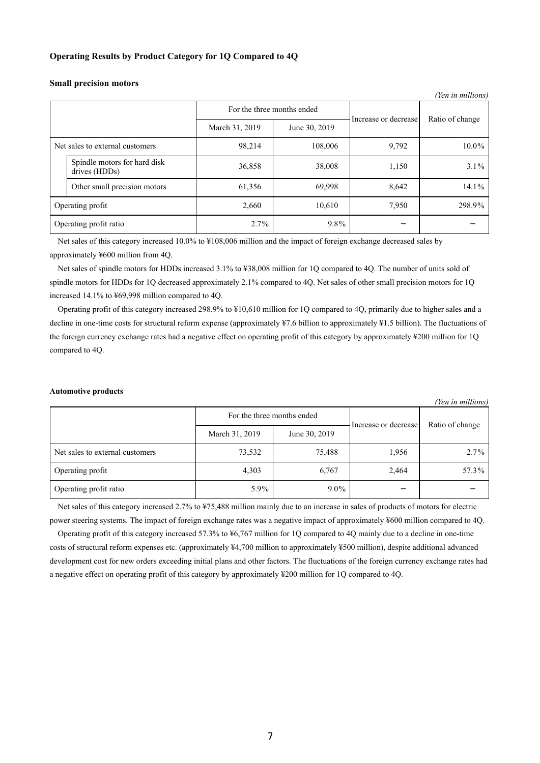### **Operating Results by Product Category for 1Q Compared to 4Q**

|                                               |                                                               |         |                      | (Yen in millions) |
|-----------------------------------------------|---------------------------------------------------------------|---------|----------------------|-------------------|
|                                               | For the three months ended<br>March 31, 2019<br>June 30, 2019 |         | Increase or decrease |                   |
|                                               |                                                               |         |                      | Ratio of change   |
| Net sales to external customers               | 98,214                                                        | 108,006 | 9,792                | 10.0%             |
| Spindle motors for hard disk<br>drives (HDDs) | 36,858                                                        | 38,008  | 1,150                | $3.1\%$           |
| Other small precision motors                  | 61,356                                                        | 69,998  | 8,642                | 14.1%             |
| Operating profit                              | 2,660                                                         | 10,610  | 7,950                | 298.9%            |
| Operating profit ratio                        | $2.7\%$                                                       | $9.8\%$ |                      |                   |

#### **Small precision motors**

Net sales of this category increased 10.0% to ¥108,006 million and the impact of foreign exchange decreased sales by approximately ¥600 million from 4Q.

Net sales of spindle motors for HDDs increased 3.1% to ¥38,008 million for 1Q compared to 4Q. The number of units sold of spindle motors for HDDs for 1Q decreased approximately 2.1% compared to 4Q. Net sales of other small precision motors for 1Q increased 14.1% to ¥69,998 million compared to 4Q.

Operating profit of this category increased 298.9% to ¥10,610 million for 1Q compared to 4Q, primarily due to higher sales and a decline in one-time costs for structural reform expense (approximately ¥7.6 billion to approximately ¥1.5 billion). The fluctuations of the foreign currency exchange rates had a negative effect on operating profit of this category by approximately ¥200 million for 1Q compared to 4Q.

#### **Automotive products**

| (Yen in millions)               |                            |               |                      |                 |
|---------------------------------|----------------------------|---------------|----------------------|-----------------|
|                                 | For the three months ended |               | Increase or decrease | Ratio of change |
|                                 | March 31, 2019             | June 30, 2019 |                      |                 |
| Net sales to external customers | 73,532                     | 75,488        | 1,956                | $2.7\%$         |
| Operating profit                | 4,303                      | 6,767         | 2,464                | 57.3%           |
| Operating profit ratio          | 5.9%                       | $9.0\%$       |                      |                 |

Net sales of this category increased 2.7% to ¥75,488 million mainly due to an increase in sales of products of motors for electric power steering systems. The impact of foreign exchange rates was a negative impact of approximately ¥600 million compared to 4Q.

Operating profit of this category increased 57.3% to ¥6,767 million for 1Q compared to 4Q mainly due to a decline in one-time costs of structural reform expenses etc. (approximately ¥4,700 million to approximately ¥500 million), despite additional advanced development cost for new orders exceeding initial plans and other factors. The fluctuations of the foreign currency exchange rates had a negative effect on operating profit of this category by approximately ¥200 million for 1Q compared to 4Q.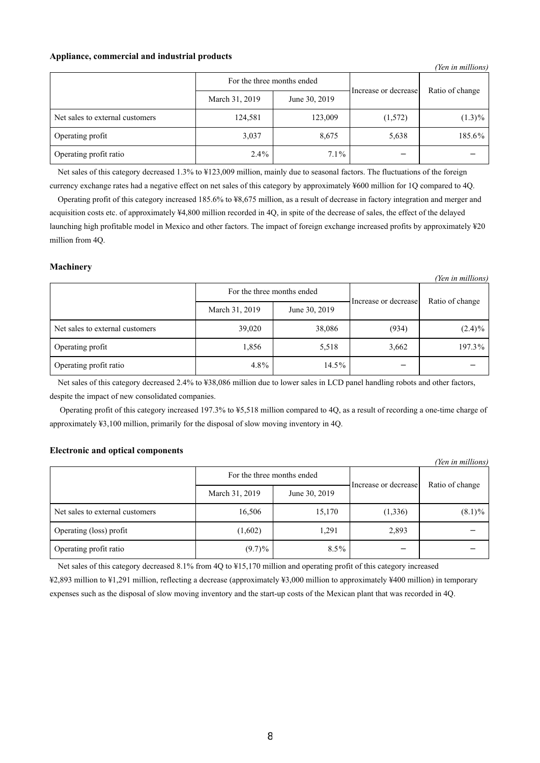### **Appliance, commercial and industrial products**

|                                 |                |               |                      | (Yen in millions) |
|---------------------------------|----------------|---------------|----------------------|-------------------|
| For the three months ended      |                |               | Increase or decrease | Ratio of change   |
|                                 | March 31, 2019 | June 30, 2019 |                      |                   |
| Net sales to external customers | 124,581        | 123,009       | (1,572)              | $(1.3)\%$         |
| Operating profit                | 3,037          | 8,675         | 5,638                | 185.6%            |
| Operating profit ratio          | $2.4\%$        | $7.1\%$       |                      |                   |

Net sales of this category decreased 1.3% to ¥123,009 million, mainly due to seasonal factors. The fluctuations of the foreign currency exchange rates had a negative effect on net sales of this category by approximately ¥600 million for 1Q compared to 4Q.

Operating profit of this category increased 185.6% to ¥8,675 million, as a result of decrease in factory integration and merger and acquisition costs etc. of approximately ¥4,800 million recorded in 4Q, in spite of the decrease of sales, the effect of the delayed launching high profitable model in Mexico and other factors. The impact of foreign exchange increased profits by approximately ¥20 million from 4Q.

### **Machinery**

*(Yen in millions)*

|                                 | For the three months ended |               | Increase or decrease | Ratio of change |
|---------------------------------|----------------------------|---------------|----------------------|-----------------|
|                                 | March 31, 2019             | June 30, 2019 |                      |                 |
| Net sales to external customers | 39,020                     | 38,086        | (934)                | $(2.4)\%$       |
| Operating profit                | 1,856                      | 5,518         | 3,662                | 197.3%          |
| Operating profit ratio          | $4.8\%$                    | 14.5%         |                      |                 |

Net sales of this category decreased 2.4% to ¥38,086 million due to lower sales in LCD panel handling robots and other factors, despite the impact of new consolidated companies.

 Operating profit of this category increased 197.3% to ¥5,518 million compared to 4Q, as a result of recording a one-time charge of approximately ¥3,100 million, primarily for the disposal of slow moving inventory in 4Q.

## **Electronic and optical components**

| (Yen in millions)               |                            |               |                      |                 |  |
|---------------------------------|----------------------------|---------------|----------------------|-----------------|--|
|                                 | For the three months ended |               |                      | Ratio of change |  |
|                                 | March 31, 2019             | June 30, 2019 | Increase or decrease |                 |  |
| Net sales to external customers | 16,506                     | 15,170        | (1,336)              | $(8.1)\%$       |  |
| Operating (loss) profit         | (1,602)                    | 1,291         | 2,893                |                 |  |
| Operating profit ratio          | $(9.7)\%$                  | $8.5\%$       |                      |                 |  |

Net sales of this category decreased 8.1% from 4Q to ¥15,170 million and operating profit of this category increased

¥2,893 million to ¥1,291 million, reflecting a decrease (approximately ¥3,000 million to approximately ¥400 million) in temporary expenses such as the disposal of slow moving inventory and the start-up costs of the Mexican plant that was recorded in 4Q.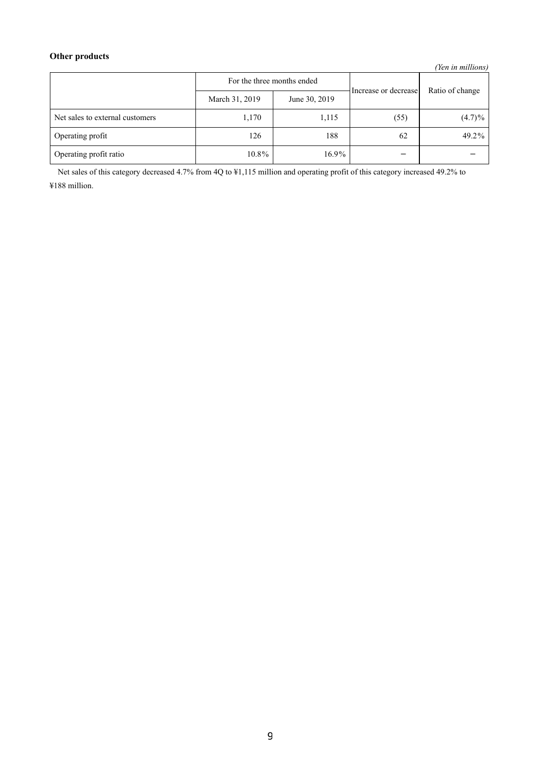# **Other products**

*(Yen in millions)*

| For the three months ended      |                | Increase or decrease | Ratio of change |           |
|---------------------------------|----------------|----------------------|-----------------|-----------|
|                                 | March 31, 2019 | June 30, 2019        |                 |           |
| Net sales to external customers | 1,170          | 1,115                | (55)            | $(4.7)\%$ |
| Operating profit                | 126            | 188                  | 62              | 49.2%     |
| Operating profit ratio          | $10.8\%$       | $16.9\%$             |                 |           |

Net sales of this category decreased 4.7% from 4Q to ¥1,115 million and operating profit of this category increased 49.2% to ¥188 million.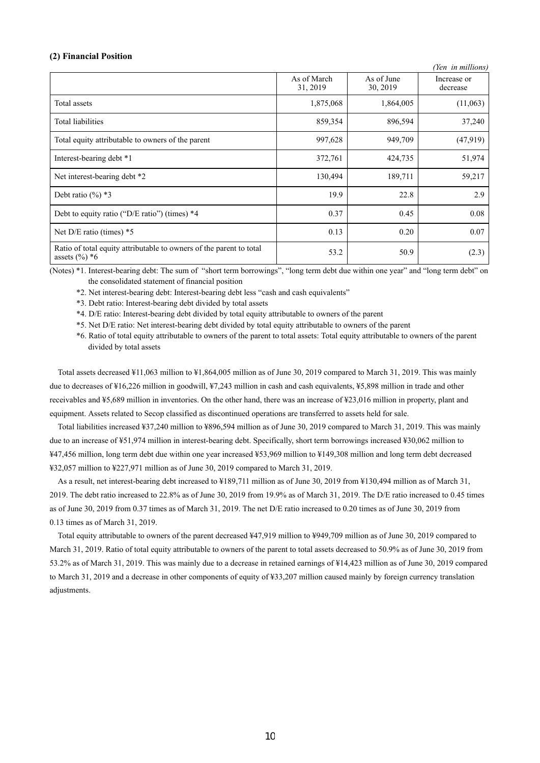### **(2) Financial Position**

|                                                                                         |                         |                        | (Yen in millions)       |
|-----------------------------------------------------------------------------------------|-------------------------|------------------------|-------------------------|
|                                                                                         | As of March<br>31, 2019 | As of June<br>30, 2019 | Increase or<br>decrease |
| Total assets                                                                            | 1,875,068               | 1,864,005              | (11,063)                |
| <b>Total liabilities</b>                                                                | 859,354                 | 896,594                | 37,240                  |
| Total equity attributable to owners of the parent                                       | 997,628                 | 949,709                | (47,919)                |
| Interest-bearing debt *1                                                                | 372,761                 | 424,735                | 51,974                  |
| Net interest-bearing debt *2                                                            | 130,494                 | 189,711                | 59,217                  |
| Debt ratio $(\%)$ *3                                                                    | 19.9                    | 22.8                   | 2.9                     |
| Debt to equity ratio ("D/E ratio") (times) *4                                           | 0.37                    | 0.45                   | 0.08                    |
| Net $D/E$ ratio (times) $*5$                                                            | 0.13                    | 0.20                   | 0.07                    |
| Ratio of total equity attributable to owners of the parent to total<br>assets $(\%)^*6$ | 53.2                    | 50.9                   | (2.3)                   |

(Notes) \*1. Interest-bearing debt: The sum of "short term borrowings", "long term debt due within one year" and "long term debt" on the consolidated statement of financial position

\*2. Net interest-bearing debt: Interest-bearing debt less "cash and cash equivalents"

\*3. Debt ratio: Interest-bearing debt divided by total assets

\*4. D/E ratio: Interest-bearing debt divided by total equity attributable to owners of the parent

\*5. Net D/E ratio: Net interest-bearing debt divided by total equity attributable to owners of the parent

\*6. Ratio of total equity attributable to owners of the parent to total assets: Total equity attributable to owners of the parent divided by total assets

Total assets decreased ¥11,063 million to ¥1,864,005 million as of June 30, 2019 compared to March 31, 2019. This was mainly due to decreases of ¥16,226 million in goodwill, ¥7,243 million in cash and cash equivalents, ¥5,898 million in trade and other receivables and ¥5,689 million in inventories. On the other hand, there was an increase of ¥23,016 million in property, plant and equipment. Assets related to Secop classified as discontinued operations are transferred to assets held for sale.

Total liabilities increased ¥37,240 million to ¥896,594 million as of June 30, 2019 compared to March 31, 2019. This was mainly due to an increase of ¥51,974 million in interest-bearing debt. Specifically, short term borrowings increased ¥30,062 million to ¥47,456 million, long term debt due within one year increased ¥53,969 million to ¥149,308 million and long term debt decreased ¥32,057 million to ¥227,971 million as of June 30, 2019 compared to March 31, 2019.

As a result, net interest-bearing debt increased to ¥189,711 million as of June 30, 2019 from ¥130,494 million as of March 31, 2019. The debt ratio increased to 22.8% as of June 30, 2019 from 19.9% as of March 31, 2019. The D/E ratio increased to 0.45 times as of June 30, 2019 from 0.37 times as of March 31, 2019. The net D/E ratio increased to 0.20 times as of June 30, 2019 from 0.13 times as of March 31, 2019.

Total equity attributable to owners of the parent decreased ¥47,919 million to ¥949,709 million as of June 30, 2019 compared to March 31, 2019. Ratio of total equity attributable to owners of the parent to total assets decreased to 50.9% as of June 30, 2019 from 53.2% as of March 31, 2019. This was mainly due to a decrease in retained earnings of ¥14,423 million as of June 30, 2019 compared to March 31, 2019 and a decrease in other components of equity of ¥33,207 million caused mainly by foreign currency translation adjustments.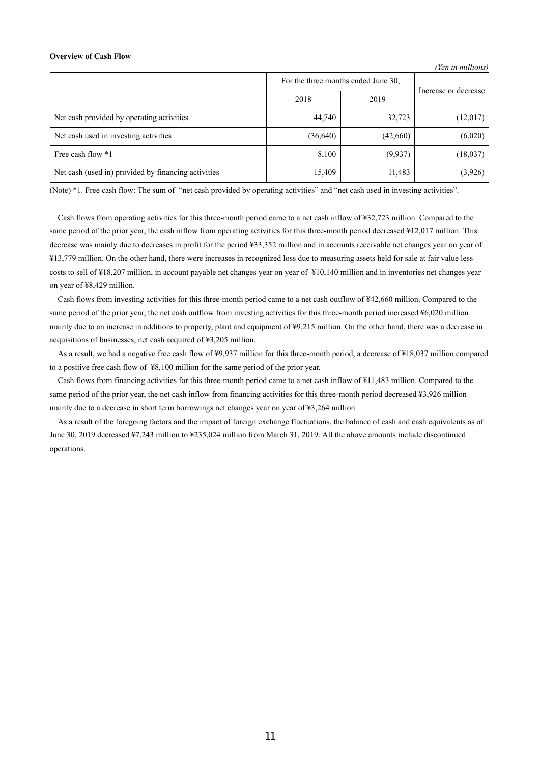#### **Overview of Cash Flow**

|                                                     | For the three months ended June 30, |          |                      |
|-----------------------------------------------------|-------------------------------------|----------|----------------------|
|                                                     | 2018                                | 2019     | Increase or decrease |
| Net cash provided by operating activities           | 44,740                              | 32,723   | (12,017)             |
| Net cash used in investing activities               | (36, 640)                           | (42,660) | (6,020)              |
| Free cash flow *1                                   | 8,100                               | (9,937)  | (18,037)             |
| Net cash (used in) provided by financing activities | 15,409                              | 11,483   | (3,926)              |

*(Yen in millions)*

(Note) \*1. Free cash flow: The sum of "net cash provided by operating activities" and "net cash used in investing activities".

Cash flows from operating activities for this three-month period came to a net cash inflow of ¥32,723 million. Compared to the same period of the prior year, the cash inflow from operating activities for this three-month period decreased ¥12,017 million. This decrease was mainly due to decreases in profit for the period ¥33,352 million and in accounts receivable net changes year on year of ¥13,779 million. On the other hand, there were increases in recognized loss due to measuring assets held for sale at fair value less costs to sell of ¥18,207 million, in account payable net changes year on year of ¥10,140 million and in inventories net changes year on year of ¥8,429 million.

Cash flows from investing activities for this three-month period came to a net cash outflow of ¥42,660 million. Compared to the same period of the prior year, the net cash outflow from investing activities for this three-month period increased ¥6,020 million mainly due to an increase in additions to property, plant and equipment of ¥9,215 million. On the other hand, there was a decrease in acquisitions of businesses, net cash acquired of ¥3,205 million.

As a result, we had a negative free cash flow of ¥9,937 million for this three-month period, a decrease of ¥18,037 million compared to a positive free cash flow of ¥8,100 million for the same period of the prior year.

Cash flows from financing activities for this three-month period came to a net cash inflow of ¥11,483 million. Compared to the same period of the prior year, the net cash inflow from financing activities for this three-month period decreased ¥3,926 million mainly due to a decrease in short term borrowings net changes year on year of ¥3,264 million.

As a result of the foregoing factors and the impact of foreign exchange fluctuations, the balance of cash and cash equivalents as of June 30, 2019 decreased ¥7,243 million to ¥235,024 million from March 31, 2019. All the above amounts include discontinued operations.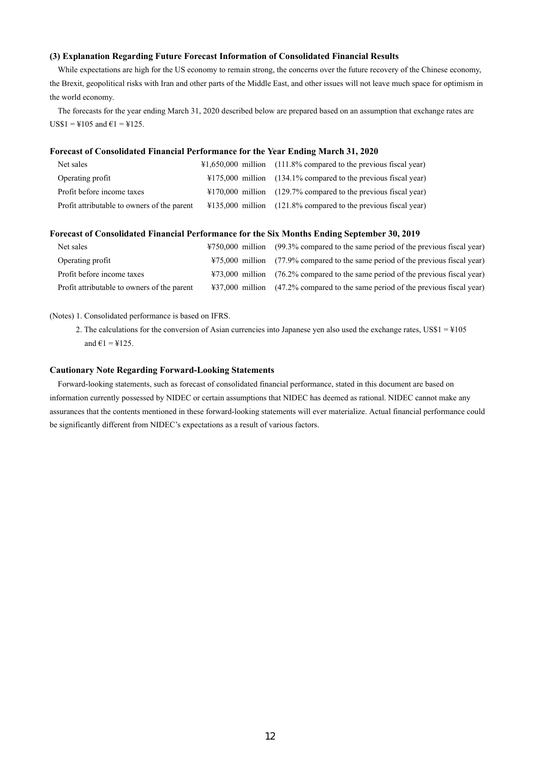## **(3) Explanation Regarding Future Forecast Information of Consolidated Financial Results**

While expectations are high for the US economy to remain strong, the concerns over the future recovery of the Chinese economy, the Brexit, geopolitical risks with Iran and other parts of the Middle East, and other issues will not leave much space for optimism in the world economy.

The forecasts for the year ending March 31, 2020 described below are prepared based on an assumption that exchange rates are  $US$1 = $105$  and  $€1 = $125$ .

#### **Forecast of Consolidated Financial Performance for the Year Ending March 31, 2020**

| Net sales                                   | $\text{\#1,650,000}$ million (111.8% compared to the previous fiscal year) |
|---------------------------------------------|----------------------------------------------------------------------------|
| Operating profit                            | $\text{\#175,000}$ million (134.1% compared to the previous fiscal year)   |
| Profit before income taxes                  | $\text{\#170,000}$ million (129.7% compared to the previous fiscal year)   |
| Profit attributable to owners of the parent | $\text{\#135,000}$ million (121.8% compared to the previous fiscal year)   |

## **Forecast of Consolidated Financial Performance for the Six Months Ending September 30, 2019**

| Net sales                                   | ¥750,000 million (99.3% compared to the same period of the previous fiscal year) |
|---------------------------------------------|----------------------------------------------------------------------------------|
| Operating profit                            | ¥75,000 million (77.9% compared to the same period of the previous fiscal year)  |
| Profit before income taxes                  | ¥73,000 million (76.2% compared to the same period of the previous fiscal year)  |
| Profit attributable to owners of the parent | ¥37,000 million (47.2% compared to the same period of the previous fiscal year)  |

## (Notes) 1. Consolidated performance is based on IFRS.

2. The calculations for the conversion of Asian currencies into Japanese yen also used the exchange rates, US\$1 = ¥105 and  $\epsilon$ 1 = ¥125.

#### **Cautionary Note Regarding Forward-Looking Statements**

Forward-looking statements, such as forecast of consolidated financial performance, stated in this document are based on information currently possessed by NIDEC or certain assumptions that NIDEC has deemed as rational. NIDEC cannot make any assurances that the contents mentioned in these forward-looking statements will ever materialize. Actual financial performance could be significantly different from NIDEC's expectations as a result of various factors.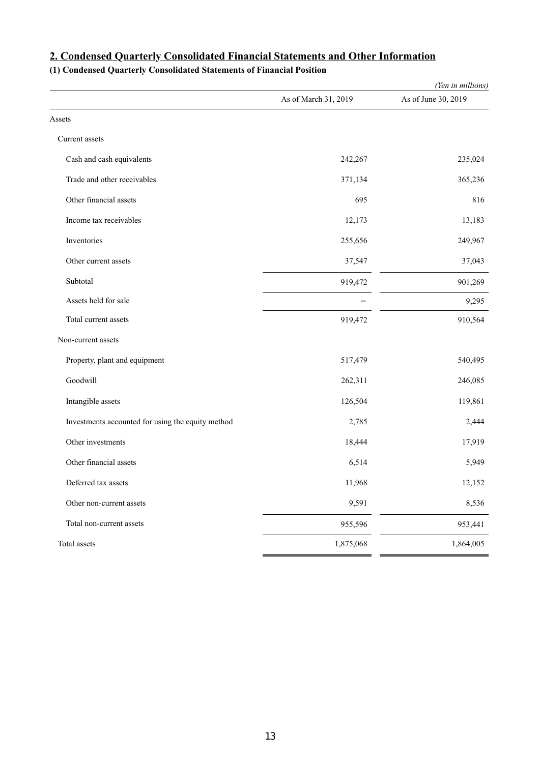|                                                   |                      | (Yen in millions)   |
|---------------------------------------------------|----------------------|---------------------|
|                                                   | As of March 31, 2019 | As of June 30, 2019 |
| Assets                                            |                      |                     |
| Current assets                                    |                      |                     |
| Cash and cash equivalents                         | 242,267              | 235,024             |
| Trade and other receivables                       | 371,134              | 365,236             |
| Other financial assets                            | 695                  | 816                 |
| Income tax receivables                            | 12,173               | 13,183              |
| Inventories                                       | 255,656              | 249,967             |
| Other current assets                              | 37,547               | 37,043              |
| Subtotal                                          | 919,472              | 901,269             |
| Assets held for sale                              |                      | 9,295               |
| Total current assets                              | 919,472              | 910,564             |
| Non-current assets                                |                      |                     |
| Property, plant and equipment                     | 517,479              | 540,495             |
| Goodwill                                          | 262,311              | 246,085             |
| Intangible assets                                 | 126,504              | 119,861             |
| Investments accounted for using the equity method | 2,785                | 2,444               |
| Other investments                                 | 18,444               | 17,919              |
| Other financial assets                            | 6,514                | 5,949               |
| Deferred tax assets                               | 11,968               | 12,152              |
| Other non-current assets                          | 9,591                | 8,536               |
| Total non-current assets                          | 955,596              | 953,441             |
| Total assets                                      | 1,875,068            | 1,864,005           |

# **2. Condensed Quarterly Consolidated Financial Statements and Other Information**

# **(1) Condensed Quarterly Consolidated Statements of Financial Position**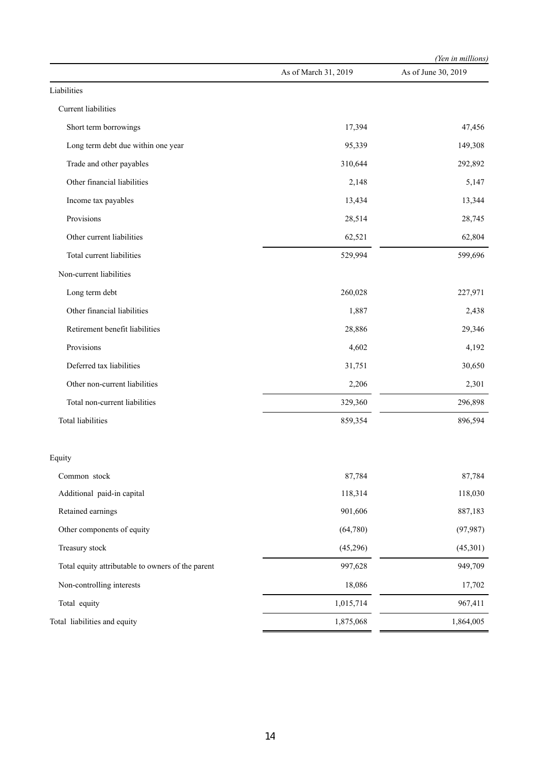|                                                   |                      | (Yen in millions)   |  |
|---------------------------------------------------|----------------------|---------------------|--|
|                                                   | As of March 31, 2019 | As of June 30, 2019 |  |
| Liabilities                                       |                      |                     |  |
| Current liabilities                               |                      |                     |  |
| Short term borrowings                             | 17,394               | 47,456              |  |
| Long term debt due within one year                | 95,339               | 149,308             |  |
| Trade and other payables                          | 310,644              | 292,892             |  |
| Other financial liabilities                       | 2,148                | 5,147               |  |
| Income tax payables                               | 13,434               | 13,344              |  |
| Provisions                                        | 28,514               | 28,745              |  |
| Other current liabilities                         | 62,521               | 62,804              |  |
| Total current liabilities                         | 529,994              | 599,696             |  |
| Non-current liabilities                           |                      |                     |  |
| Long term debt                                    | 260,028              | 227,971             |  |
| Other financial liabilities                       | 1,887                | 2,438               |  |
| Retirement benefit liabilities                    | 28,886               | 29,346              |  |
| Provisions                                        | 4,602                | 4,192               |  |
| Deferred tax liabilities                          | 31,751               | 30,650              |  |
| Other non-current liabilities                     | 2,206                | 2,301               |  |
| Total non-current liabilities                     | 329,360              | 296,898             |  |
| <b>Total liabilities</b>                          | 859,354              | 896,594             |  |
| Equity                                            |                      |                     |  |
| Common stock                                      | 87,784               | 87,784              |  |
| Additional paid-in capital                        | 118,314              | 118,030             |  |
| Retained earnings                                 | 901,606              | 887,183             |  |
| Other components of equity                        | (64,780)             | (97, 987)           |  |
| Treasury stock                                    | (45,296)             | (45,301)            |  |
| Total equity attributable to owners of the parent | 997,628              | 949,709             |  |
| Non-controlling interests                         | 18,086               | 17,702              |  |
| Total equity                                      | 1,015,714            | 967,411             |  |
| Total liabilities and equity                      | 1,875,068            | 1,864,005           |  |
|                                                   |                      |                     |  |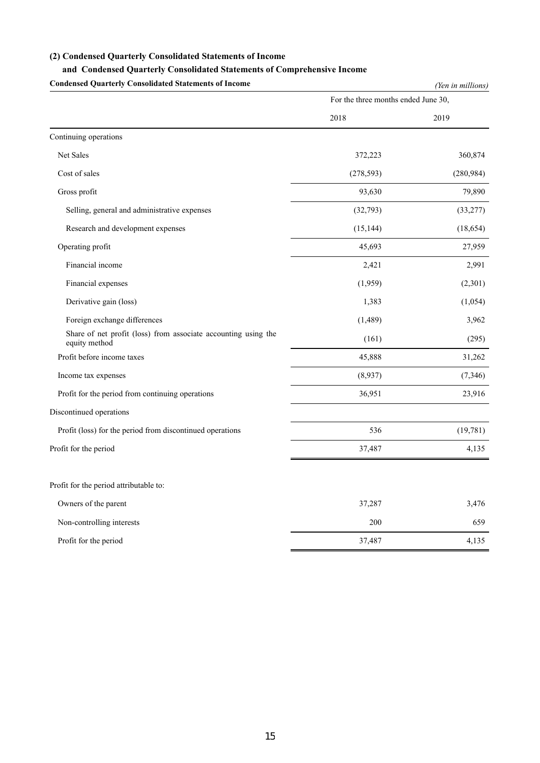### **(2) Condensed Quarterly Consolidated Statements of Income**

## **and Condensed Quarterly Consolidated Statements of Comprehensive Income**

**Condensed Quarterly Consolidated Statements of Income** *(Yen in millions)* For the three months ended June 30, 2018 2019 Continuing operations Net Sales 372,223 360,874 Cost of sales (278,593) (280,984) Gross profit 79,890 Selling, general and administrative expenses (32,793) (33,277) Research and development expenses (15,144) (18,654) Operating profit 27,959 27,959 Financial income 2,421 2,991 Financial expenses (1,959) (2,301) Derivative gain (loss) (1,054) 1,383 (1,054) Foreign exchange differences (1,489) 3,962 Share of net profit (loss) from associate accounting using the (161) (295) (295) Profit before income taxes 31,262 Income tax expenses  $(8.937)$   $(7.346)$ Profit for the period from continuing operations 36,951 23,916 Discontinued operations Profit (loss) for the period from discontinued operations 536 (19,781) Profit for the period 37,487 4,135 Profit for the period attributable to: Owners of the parent 37,287 3,476 Non-controlling interests 659 Profit for the period 4,135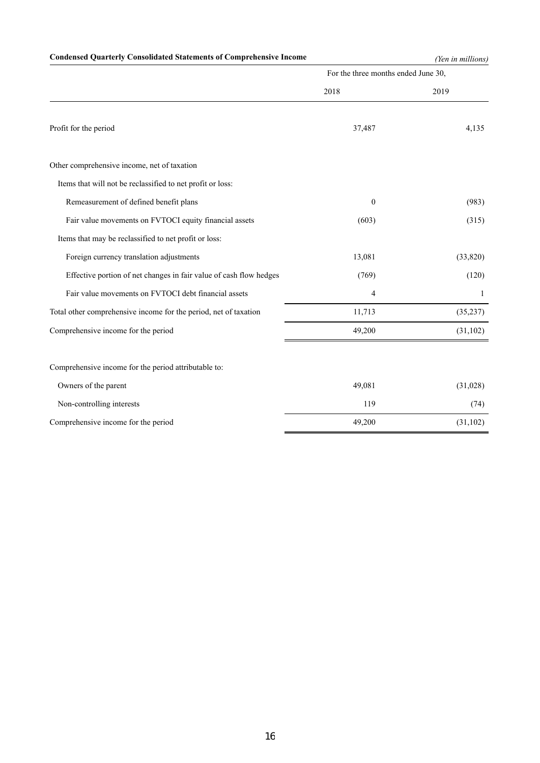# **Condensed Quarterly Consolidated Statements of Comprehensive Income** *(Yen in millions)*

| For the three months ended June 30, |           |  |
|-------------------------------------|-----------|--|
| 2018                                | 2019      |  |
| 37,487                              | 4,135     |  |
|                                     |           |  |
|                                     |           |  |
| $\mathbf{0}$                        | (983)     |  |
| (603)                               | (315)     |  |
|                                     |           |  |
| 13,081                              | (33,820)  |  |
| (769)                               | (120)     |  |
| 4                                   | 1         |  |
| 11,713                              | (35, 237) |  |
| 49,200                              | (31, 102) |  |
|                                     |           |  |
| 49,081                              | (31,028)  |  |
| 119                                 | (74)      |  |
| 49,200                              | (31, 102) |  |
|                                     |           |  |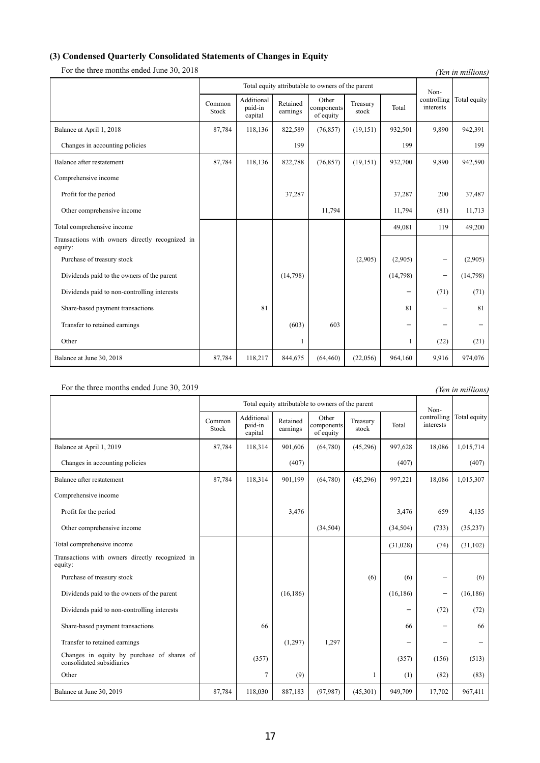## **(3) Condensed Quarterly Consolidated Statements of Changes in Equity**

For the three months ended June 30, 2018 *(Yen in millions) (Yen in millions)* Total equity attributable to owners of the parent Noncontrolling interests Total equity Common Stock Additional paid-in capital Retained earnings Other components of equity Treasury reasury Total Balance at April 1, 2018 87,784 118,136 822,589 (76,857) (19,151) 932,501 93890 942,391 Changes in accounting policies 199 199 199 Balance after restatement 87,784 118,136 822,788 (76,857) (19,151) 932,700 9,890 942,590 Comprehensive income Profit for the period 37,487 37,287 37,487 37,287 37,487 Other comprehensive income 11,794 11,794 (81) 11,713 Total comprehensive income the comprehensive income that the comprehensive income that the comprehensive income that the comprehensive income that the comprehensive income that the comprehensive income that the comprehensi Transactions with owners directly recognized in equity: Purchase of treasury stock  $(2,905)$   $(2,905)$   $(2,905)$ Dividends paid to the owners of the parent  $(14,798)$  (14,798)  $-$  (14,798)  $-$  (14,798) Dividends paid to non-controlling interests  $(71)$   $(71)$   $(71)$ Share-based payment transactions 81 81 81 - 81 81 - 81 Transfer to retained earnings  $(603)$   $603$ Other (22) (21) (22) (21) (22) (21) Balance at June 30, 2018 **87,784** 118,217 844,675 (64,460) (22,056) 964,160 9,916 974,076

### For the three months ended June 30, 2019 *(Yen in millions)*

Total equity attributable to owners of the parent Noncontrolling interests Total equity Common Stock Additional paid-in capital Retained earnings Other omponents of equity Treasury stock Total Balance at April 1, 2019 87,784 118,314 901,606 (64,780) (45,296) 997,628 18,086 1,015,714 Changes in accounting policies (407) (407) (407) (407) (407) (407) Balance after restatement 87,784 118,314 901,199 (64,780) (45,296) 997,221 18,086 1,015,307 Comprehensive income Profit for the period  $3,476$   $3,476$   $3,476$   $3,476$   $659$   $4,135$ Other comprehensive income (34,504) (34,504) (34,504) (733) (35,237) Total comprehensive income (31,028) (74) (31,102) Transactions with owners directly recognized in equity: Purchase of treasury stock  $(6)$   $(6)$   $(6)$   $(6)$ Dividends paid to the owners of the parent (16,186) (16,186) (16,186) - (16,186) - (16,186) Dividends paid to non-controlling interests  $(72)$   $(72)$   $(72)$ Share-based payment transactions 66 66 - 66 Transfer to retained earnings  $(1,297)$   $1,297$ Changes in equity by purchase of shares of (357) (357) (357) (357) (357) (357) (357) (357) (357) (513) Other (82) 1 (1) (82) (83) Balance at June 30, 2019 **87,784** 118,030 887,183 (97,987) (45,301) 949,709 17,702 967,411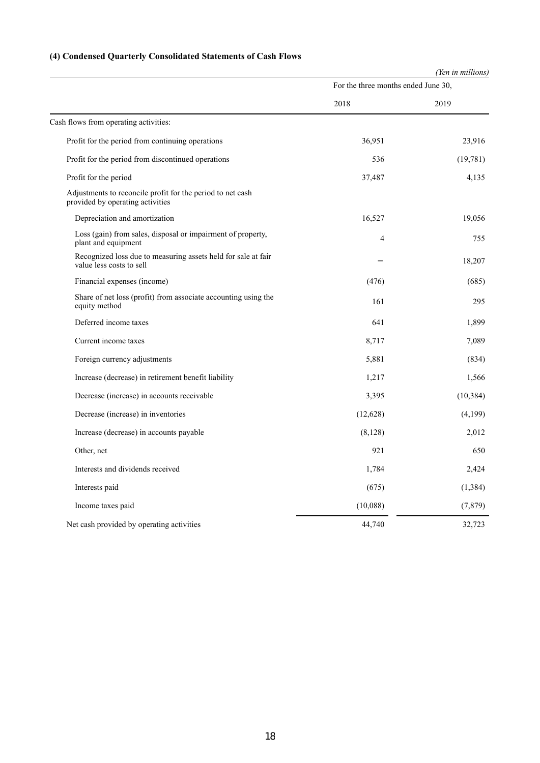# **(4) Condensed Quarterly Consolidated Statements of Cash Flows**

|                                                                                                |                                     | (Yen in millions) |  |
|------------------------------------------------------------------------------------------------|-------------------------------------|-------------------|--|
|                                                                                                | For the three months ended June 30, |                   |  |
|                                                                                                | 2018                                | 2019              |  |
| Cash flows from operating activities:                                                          |                                     |                   |  |
| Profit for the period from continuing operations                                               | 36,951                              | 23,916            |  |
| Profit for the period from discontinued operations                                             | 536                                 | (19,781)          |  |
| Profit for the period                                                                          | 37,487                              | 4,135             |  |
| Adjustments to reconcile profit for the period to net cash<br>provided by operating activities |                                     |                   |  |
| Depreciation and amortization                                                                  | 16,527                              | 19,056            |  |
| Loss (gain) from sales, disposal or impairment of property,<br>plant and equipment             | 4                                   | 755               |  |
| Recognized loss due to measuring assets held for sale at fair<br>value less costs to sell      |                                     | 18,207            |  |
| Financial expenses (income)                                                                    | (476)                               | (685)             |  |
| Share of net loss (profit) from associate accounting using the<br>equity method                | 161                                 | 295               |  |
| Deferred income taxes                                                                          | 641                                 | 1,899             |  |
| Current income taxes                                                                           | 8,717                               | 7,089             |  |
| Foreign currency adjustments                                                                   | 5,881                               | (834)             |  |
| Increase (decrease) in retirement benefit liability                                            | 1,217                               | 1,566             |  |
| Decrease (increase) in accounts receivable                                                     | 3,395                               | (10, 384)         |  |
| Decrease (increase) in inventories                                                             | (12,628)                            | (4,199)           |  |
| Increase (decrease) in accounts payable                                                        | (8,128)                             | 2,012             |  |
| Other, net                                                                                     | 921                                 | 650               |  |
| Interests and dividends received                                                               | 1,784                               | 2,424             |  |
| Interests paid                                                                                 | (675)                               | (1, 384)          |  |
| Income taxes paid                                                                              | (10,088)                            | (7, 879)          |  |
| Net cash provided by operating activities                                                      | 44,740                              | 32,723            |  |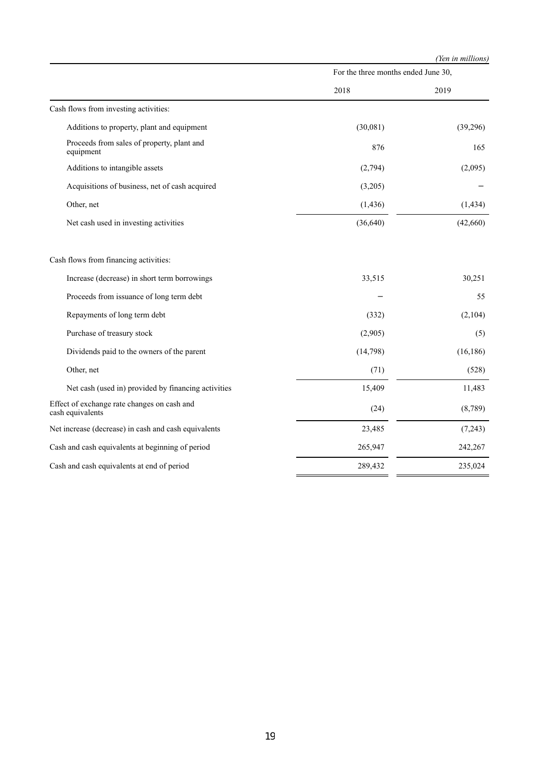|                                                                 |                                     | (Yen in millions) |  |
|-----------------------------------------------------------------|-------------------------------------|-------------------|--|
|                                                                 | For the three months ended June 30, |                   |  |
|                                                                 | 2018                                | 2019              |  |
| Cash flows from investing activities:                           |                                     |                   |  |
| Additions to property, plant and equipment                      | (30,081)                            | (39,296)          |  |
| Proceeds from sales of property, plant and<br>equipment         | 876                                 | 165               |  |
| Additions to intangible assets                                  | (2,794)                             | (2,095)           |  |
| Acquisitions of business, net of cash acquired                  | (3,205)                             |                   |  |
| Other, net                                                      | (1, 436)                            | (1, 434)          |  |
| Net cash used in investing activities                           | (36, 640)                           | (42,660)          |  |
| Cash flows from financing activities:                           |                                     |                   |  |
| Increase (decrease) in short term borrowings                    | 33,515                              | 30,251            |  |
| Proceeds from issuance of long term debt                        |                                     | 55                |  |
| Repayments of long term debt                                    | (332)                               | (2,104)           |  |
| Purchase of treasury stock                                      | (2,905)                             | (5)               |  |
| Dividends paid to the owners of the parent                      | (14, 798)                           | (16, 186)         |  |
| Other, net                                                      | (71)                                | (528)             |  |
| Net cash (used in) provided by financing activities             | 15,409                              | 11,483            |  |
| Effect of exchange rate changes on cash and<br>cash equivalents | (24)                                | (8,789)           |  |
| Net increase (decrease) in cash and cash equivalents            | 23,485                              | (7,243)           |  |
| Cash and cash equivalents at beginning of period                | 265,947                             | 242,267           |  |
| Cash and cash equivalents at end of period                      | 289,432                             | 235,024           |  |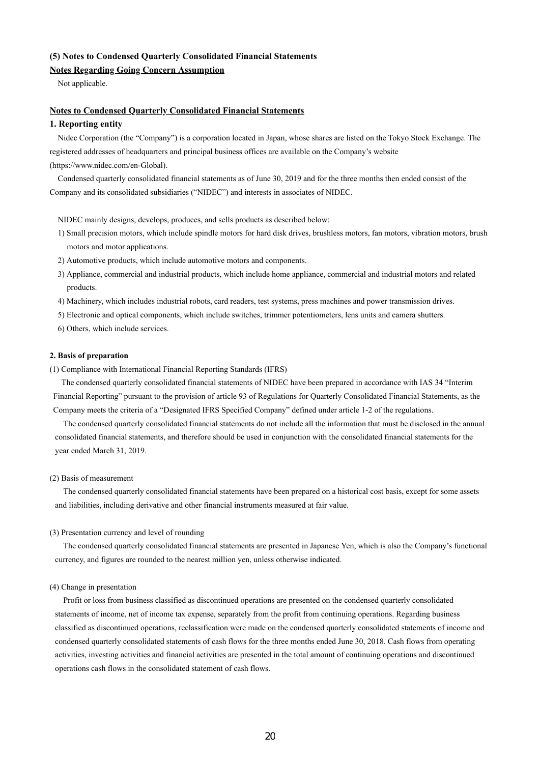# **(5) Notes to Condensed Quarterly Consolidated Financial Statements**

## **Notes Regarding Going Concern Assumption**

Not applicable.

#### **Notes to Condensed Quarterly Consolidated Financial Statements**

### **1. Reporting entity**

Nidec Corporation (the "Company") is a corporation located in Japan, whose shares are listed on the Tokyo Stock Exchange. The registered addresses of headquarters and principal business offices are available on the Company's website (https://www.nidec.com/en-Global).

Condensed quarterly consolidated financial statements as of June 30, 2019 and for the three months then ended consist of the Company and its consolidated subsidiaries ("NIDEC") and interests in associates of NIDEC.

NIDEC mainly designs, develops, produces, and sells products as described below:

- 1) Small precision motors, which include spindle motors for hard disk drives, brushless motors, fan motors, vibration motors, brush motors and motor applications.
- 2) Automotive products, which include automotive motors and components.
- 3) Appliance, commercial and industrial products, which include home appliance, commercial and industrial motors and related products.
- 4) Machinery, which includes industrial robots, card readers, test systems, press machines and power transmission drives.
- 5) Electronic and optical components, which include switches, trimmer potentiometers, lens units and camera shutters.
- 6) Others, which include services.

#### **2. Basis of preparation**

(1) Compliance with International Financial Reporting Standards (IFRS)

The condensed quarterly consolidated financial statements of NIDEC have been prepared in accordance with IAS 34 "Interim Financial Reporting" pursuant to the provision of article 93 of Regulations for Quarterly Consolidated Financial Statements, as the Company meets the criteria of a "Designated IFRS Specified Company" defined under article 1-2 of the regulations.

The condensed quarterly consolidated financial statements do not include all the information that must be disclosed in the annual consolidated financial statements, and therefore should be used in conjunction with the consolidated financial statements for the year ended March 31, 2019.

#### (2) Basis of measurement

The condensed quarterly consolidated financial statements have been prepared on a historical cost basis, except for some assets and liabilities, including derivative and other financial instruments measured at fair value.

#### (3) Presentation currency and level of rounding

The condensed quarterly consolidated financial statements are presented in Japanese Yen, which is also the Company's functional currency, and figures are rounded to the nearest million yen, unless otherwise indicated.

#### (4) Change in presentation

Profit or loss from business classified as discontinued operations are presented on the condensed quarterly consolidated statements of income, net of income tax expense, separately from the profit from continuing operations. Regarding business classified as discontinued operations, reclassification were made on the condensed quarterly consolidated statements of income and condensed quarterly consolidated statements of cash flows for the three months ended June 30, 2018. Cash flows from operating activities, investing activities and financial activities are presented in the total amount of continuing operations and discontinued operations cash flows in the consolidated statement of cash flows.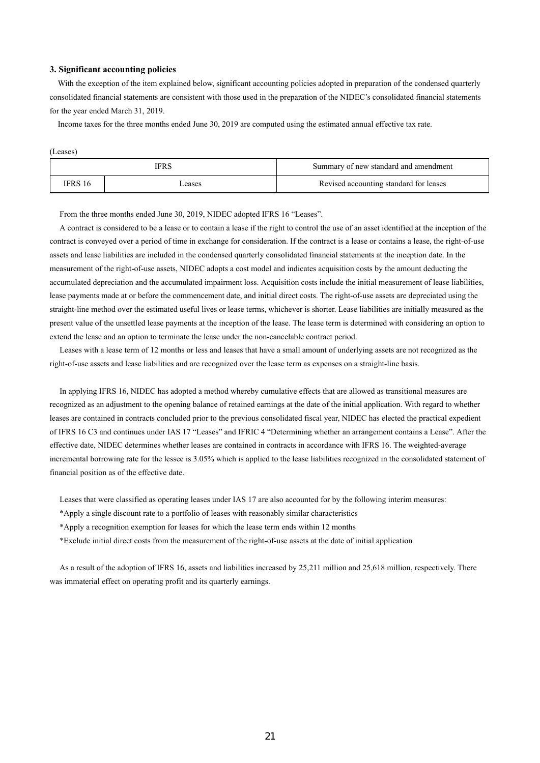#### **3. Significant accounting policies**

With the exception of the item explained below, significant accounting policies adopted in preparation of the condensed quarterly consolidated financial statements are consistent with those used in the preparation of the NIDEC's consolidated financial statements for the year ended March 31, 2019.

Income taxes for the three months ended June 30, 2019 are computed using the estimated annual effective tax rate.

| -- |
|----|
|----|

| <b>IFRS</b> |       | Summary of new standard and amendment  |  |  |
|-------------|-------|----------------------------------------|--|--|
| [FRS 16     | cases | Revised accounting standard for leases |  |  |

From the three months ended June 30, 2019, NIDEC adopted IFRS 16 "Leases".

A contract is considered to be a lease or to contain a lease if the right to control the use of an asset identified at the inception of the contract is conveyed over a period of time in exchange for consideration. If the contract is a lease or contains a lease, the right-of-use assets and lease liabilities are included in the condensed quarterly consolidated financial statements at the inception date. In the measurement of the right-of-use assets, NIDEC adopts a cost model and indicates acquisition costs by the amount deducting the accumulated depreciation and the accumulated impairment loss. Acquisition costs include the initial measurement of lease liabilities, lease payments made at or before the commencement date, and initial direct costs. The right-of-use assets are depreciated using the straight-line method over the estimated useful lives or lease terms, whichever is shorter. Lease liabilities are initially measured as the present value of the unsettled lease payments at the inception of the lease. The lease term is determined with considering an option to extend the lease and an option to terminate the lease under the non-cancelable contract period.

Leases with a lease term of 12 months or less and leases that have a small amount of underlying assets are not recognized as the right-of-use assets and lease liabilities and are recognized over the lease term as expenses on a straight-line basis.

In applying IFRS 16, NIDEC has adopted a method whereby cumulative effects that are allowed as transitional measures are recognized as an adjustment to the opening balance of retained earnings at the date of the initial application. With regard to whether leases are contained in contracts concluded prior to the previous consolidated fiscal year, NIDEC has elected the practical expedient of IFRS 16 C3 and continues under IAS 17 "Leases" and IFRIC 4 "Determining whether an arrangement contains a Lease". After the effective date, NIDEC determines whether leases are contained in contracts in accordance with IFRS 16. The weighted-average incremental borrowing rate for the lessee is 3.05% which is applied to the lease liabilities recognized in the consolidated statement of financial position as of the effective date.

Leases that were classified as operating leases under IAS 17 are also accounted for by the following interim measures:

\*Apply a single discount rate to a portfolio of leases with reasonably similar characteristics

\*Apply a recognition exemption for leases for which the lease term ends within 12 months

\*Exclude initial direct costs from the measurement of the right-of-use assets at the date of initial application

As a result of the adoption of IFRS 16, assets and liabilities increased by 25,211 million and 25,618 million, respectively. There was immaterial effect on operating profit and its quarterly earnings.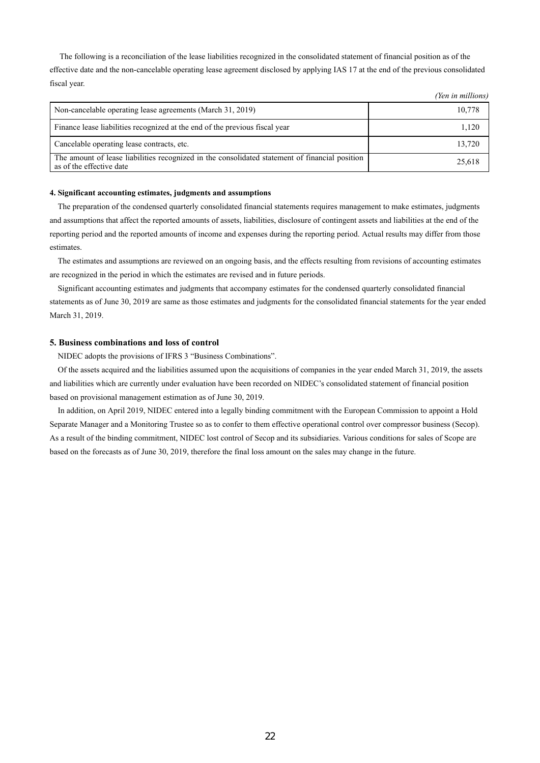The following is a reconciliation of the lease liabilities recognized in the consolidated statement of financial position as of the effective date and the non-cancelable operating lease agreement disclosed by applying IAS 17 at the end of the previous consolidated fiscal year.

*(Yen in millions)*

|                                                                                                                            | $1 \vee \cdots \vee \vee \vee \vee \vee \vee \vee \vee \vee$ |
|----------------------------------------------------------------------------------------------------------------------------|--------------------------------------------------------------|
| Non-cancelable operating lease agreements (March 31, 2019)                                                                 | 10,778                                                       |
| Finance lease liabilities recognized at the end of the previous fiscal year                                                | 1.120                                                        |
| Cancelable operating lease contracts, etc.                                                                                 | 13.720                                                       |
| The amount of lease liabilities recognized in the consolidated statement of financial position<br>as of the effective date | 25,618                                                       |

#### **4. Significant accounting estimates, judgments and assumptions**

The preparation of the condensed quarterly consolidated financial statements requires management to make estimates, judgments and assumptions that affect the reported amounts of assets, liabilities, disclosure of contingent assets and liabilities at the end of the reporting period and the reported amounts of income and expenses during the reporting period. Actual results may differ from those estimates.

The estimates and assumptions are reviewed on an ongoing basis, and the effects resulting from revisions of accounting estimates are recognized in the period in which the estimates are revised and in future periods.

Significant accounting estimates and judgments that accompany estimates for the condensed quarterly consolidated financial statements as of June 30, 2019 are same as those estimates and judgments for the consolidated financial statements for the year ended March 31, 2019.

#### **5. Business combinations and loss of control**

NIDEC adopts the provisions of IFRS 3 "Business Combinations".

Of the assets acquired and the liabilities assumed upon the acquisitions of companies in the year ended March 31, 2019, the assets and liabilities which are currently under evaluation have been recorded on NIDEC's consolidated statement of financial position based on provisional management estimation as of June 30, 2019.

In addition, on April 2019, NIDEC entered into a legally binding commitment with the European Commission to appoint a Hold Separate Manager and a Monitoring Trustee so as to confer to them effective operational control over compressor business (Secop). As a result of the binding commitment, NIDEC lost control of Secop and its subsidiaries. Various conditions for sales of Scope are based on the forecasts as of June 30, 2019, therefore the final loss amount on the sales may change in the future.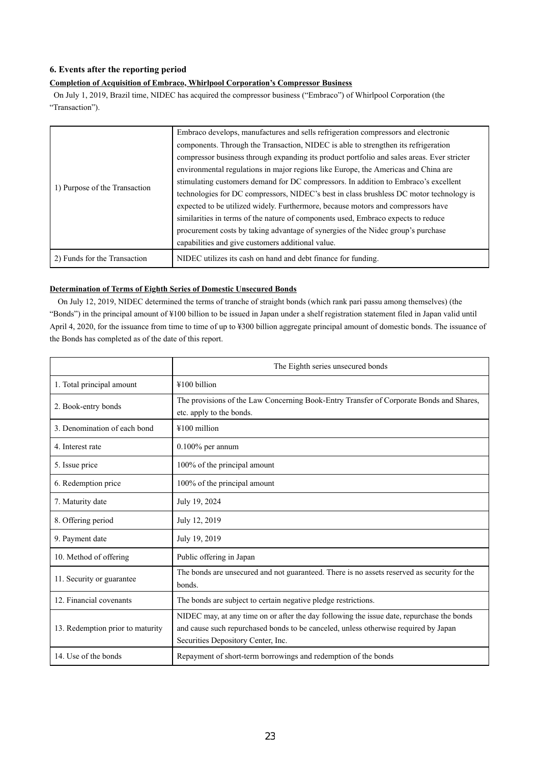## **6. Events after the reporting period**

## **Completion of Acquisition of Embraco, Whirlpool Corporation's Compressor Business**

 On July 1, 2019, Brazil time, NIDEC has acquired the compressor business ("Embraco") of Whirlpool Corporation (the "Transaction").

|                               | Embraco develops, manufactures and sells refrigeration compressors and electronic          |
|-------------------------------|--------------------------------------------------------------------------------------------|
|                               | components. Through the Transaction, NIDEC is able to strengthen its refrigeration         |
|                               | compressor business through expanding its product portfolio and sales areas. Ever stricter |
| 1) Purpose of the Transaction | environmental regulations in major regions like Europe, the Americas and China are         |
|                               | stimulating customers demand for DC compressors. In addition to Embraco's excellent        |
|                               | technologies for DC compressors, NIDEC's best in class brushless DC motor technology is    |
|                               | expected to be utilized widely. Furthermore, because motors and compressors have           |
|                               | similarities in terms of the nature of components used, Embraco expects to reduce          |
|                               | procurement costs by taking advantage of synergies of the Nidec group's purchase           |
|                               | capabilities and give customers additional value.                                          |
| 2) Funds for the Transaction  | NIDEC utilizes its cash on hand and debt finance for funding.                              |

## **Determination of Terms of Eighth Series of Domestic Unsecured Bonds**

On July 12, 2019, NIDEC determined the terms of tranche of straight bonds (which rank pari passu among themselves) (the "Bonds") in the principal amount of ¥100 billion to be issued in Japan under a shelf registration statement filed in Japan valid until April 4, 2020, for the issuance from time to time of up to ¥300 billion aggregate principal amount of domestic bonds. The issuance of the Bonds has completed as of the date of this report.

|                                  | The Eighth series unsecured bonds                                                                                                                                                                                      |  |  |
|----------------------------------|------------------------------------------------------------------------------------------------------------------------------------------------------------------------------------------------------------------------|--|--|
| 1. Total principal amount        | ¥100 billion                                                                                                                                                                                                           |  |  |
| 2. Book-entry bonds              | The provisions of the Law Concerning Book-Entry Transfer of Corporate Bonds and Shares,<br>etc. apply to the bonds.                                                                                                    |  |  |
| 3. Denomination of each bond     | ¥100 million                                                                                                                                                                                                           |  |  |
| 4. Interest rate                 | $0.100\%$ per annum                                                                                                                                                                                                    |  |  |
| 5. Issue price                   | 100% of the principal amount                                                                                                                                                                                           |  |  |
| 6. Redemption price              | 100% of the principal amount                                                                                                                                                                                           |  |  |
| 7. Maturity date                 | July 19, 2024                                                                                                                                                                                                          |  |  |
| 8. Offering period               | July 12, 2019                                                                                                                                                                                                          |  |  |
| 9. Payment date                  | July 19, 2019                                                                                                                                                                                                          |  |  |
| 10. Method of offering           | Public offering in Japan                                                                                                                                                                                               |  |  |
| 11. Security or guarantee        | The bonds are unsecured and not guaranteed. There is no assets reserved as security for the<br>bonds.                                                                                                                  |  |  |
| 12. Financial covenants          | The bonds are subject to certain negative pledge restrictions.                                                                                                                                                         |  |  |
| 13. Redemption prior to maturity | NIDEC may, at any time on or after the day following the issue date, repurchase the bonds<br>and cause such repurchased bonds to be canceled, unless otherwise required by Japan<br>Securities Depository Center, Inc. |  |  |
| 14. Use of the bonds             | Repayment of short-term borrowings and redemption of the bonds                                                                                                                                                         |  |  |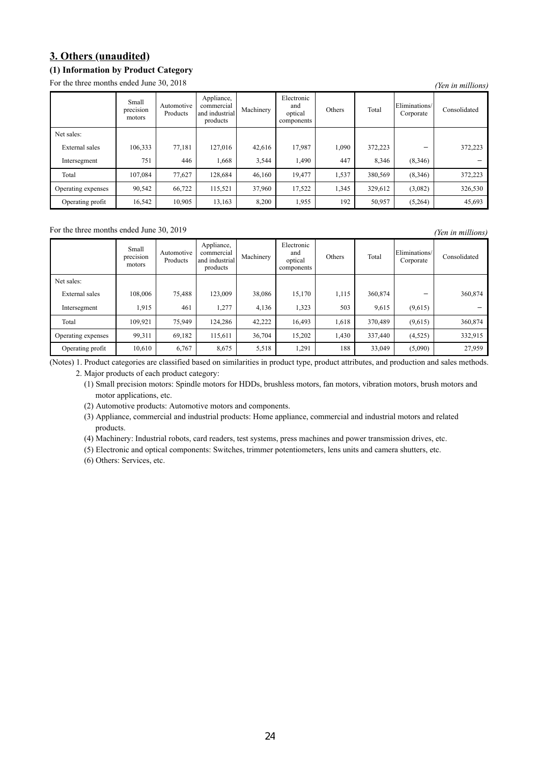# **3. Others (unaudited)**

# **(1) Information by Product Category**

For the three months ended June 30, 2018 *(Yen in millions)* 

|                    | Small<br>$\cdot$ $\cdot$<br>precision<br>motors | Automotive<br>Products | Appliance,<br>commercial<br>and industrial<br>products | Machinery | Electronic<br>and<br>optical<br>components | Others | Total   | Eliminations/<br>Corporate | Consolidated |
|--------------------|-------------------------------------------------|------------------------|--------------------------------------------------------|-----------|--------------------------------------------|--------|---------|----------------------------|--------------|
| Net sales:         |                                                 |                        |                                                        |           |                                            |        |         |                            |              |
| External sales     | 106,333                                         | 77,181                 | 127,016                                                | 42,616    | 17,987                                     | 1,090  | 372,223 |                            | 372,223      |
| Intersegment       | 751                                             | 446                    | 1,668                                                  | 3,544     | 1,490                                      | 447    | 8,346   | (8,346)                    |              |
| Total              | 107,084                                         | 77,627                 | 128,684                                                | 46,160    | 19,477                                     | 1,537  | 380,569 | (8,346)                    | 372,223      |
| Operating expenses | 90,542                                          | 66,722                 | 115,521                                                | 37,960    | 17,522                                     | 1,345  | 329,612 | (3,082)                    | 326,530      |
| Operating profit   | 16,542                                          | 10,905                 | 13,163                                                 | 8,200     | 1,955                                      | 192    | 50,957  | (5,264)                    | 45,693       |

For the three months ended June 30, 2019 *(Yen in millions) (Yen in millions)* 

|                    | Small<br>precision<br>motors | Automotive<br>Products | Appliance,<br>commercial<br>and industrial<br>products | Machinery | Electronic<br>and<br>optical<br>components | Others | Total   | Eliminations/<br>Corporate | Consolidated |
|--------------------|------------------------------|------------------------|--------------------------------------------------------|-----------|--------------------------------------------|--------|---------|----------------------------|--------------|
| Net sales:         |                              |                        |                                                        |           |                                            |        |         |                            |              |
| External sales     | 108,006                      | 75,488                 | 123,009                                                | 38,086    | 15,170                                     | 1,115  | 360,874 |                            | 360,874      |
| Intersegment       | 1,915                        | 461                    | 1,277                                                  | 4,136     | 1,323                                      | 503    | 9,615   | (9,615)                    |              |
| Total              | 109,921                      | 75,949                 | 124,286                                                | 42,222    | 16,493                                     | 1,618  | 370,489 | (9,615)                    | 360,874      |
| Operating expenses | 99,311                       | 69,182                 | 115,611                                                | 36,704    | 15,202                                     | 1,430  | 337,440 | (4,525)                    | 332,915      |
| Operating profit   | 10,610                       | 6,767                  | 8,675                                                  | 5,518     | 1,291                                      | 188    | 33,049  | (5,090)                    | 27,959       |

(Notes) 1. Product categories are classified based on similarities in product type, product attributes, and production and sales methods.

2. Major products of each product category:

(1) Small precision motors: Spindle motors for HDDs, brushless motors, fan motors, vibration motors, brush motors and motor applications, etc.

(2) Automotive products: Automotive motors and components.

(3) Appliance, commercial and industrial products: Home appliance, commercial and industrial motors and related products.

(4) Machinery: Industrial robots, card readers, test systems, press machines and power transmission drives, etc.

(5) Electronic and optical components: Switches, trimmer potentiometers, lens units and camera shutters, etc.

(6) Others: Services, etc.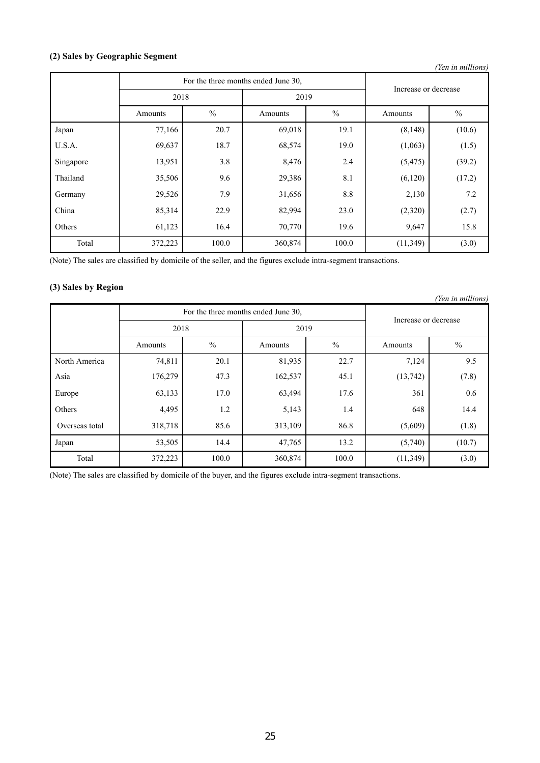# **(2) Sales by Geographic Segment**

| (Yen in millions) |         |                                     |                      |               |           |               |  |  |
|-------------------|---------|-------------------------------------|----------------------|---------------|-----------|---------------|--|--|
|                   |         | For the three months ended June 30, | Increase or decrease |               |           |               |  |  |
|                   | 2018    |                                     | 2019                 |               |           |               |  |  |
|                   | Amounts | $\frac{0}{0}$                       | Amounts              | $\frac{0}{0}$ | Amounts   | $\frac{0}{0}$ |  |  |
| Japan             | 77,166  | 20.7                                | 69,018               | 19.1          | (8, 148)  | (10.6)        |  |  |
| U.S.A.            | 69,637  | 18.7                                | 68,574               | 19.0          | (1,063)   | (1.5)         |  |  |
| Singapore         | 13,951  | 3.8                                 | 8,476                | 2.4           | (5, 475)  | (39.2)        |  |  |
| Thailand          | 35,506  | 9.6                                 | 29,386               | 8.1           | (6,120)   | (17.2)        |  |  |
| Germany           | 29,526  | 7.9                                 | 31,656               | 8.8           | 2,130     | 7.2           |  |  |
| China             | 85,314  | 22.9                                | 82,994               | 23.0          | (2,320)   | (2.7)         |  |  |
| Others            | 61,123  | 16.4                                | 70,770               | 19.6          | 9,647     | 15.8          |  |  |
| Total             | 372,223 | 100.0                               | 360,874              | 100.0         | (11, 349) | (3.0)         |  |  |

(Note) The sales are classified by domicile of the seller, and the figures exclude intra-segment transactions.

## **(3) Sales by Region**

| (Yen in millions) |         |                                     |         |               |                      |               |  |  |
|-------------------|---------|-------------------------------------|---------|---------------|----------------------|---------------|--|--|
|                   |         | For the three months ended June 30, |         |               |                      |               |  |  |
|                   | 2018    |                                     | 2019    |               | Increase or decrease |               |  |  |
|                   | Amounts | $\frac{0}{0}$                       | Amounts | $\frac{0}{0}$ | Amounts              | $\frac{0}{0}$ |  |  |
| North America     | 74,811  | 20.1                                | 81,935  | 22.7          | 7,124                | 9.5           |  |  |
| Asia              | 176,279 | 47.3                                | 162,537 | 45.1          | (13,742)             | (7.8)         |  |  |
| Europe            | 63,133  | 17.0                                | 63,494  | 17.6          | 361                  | 0.6           |  |  |
| Others            | 4,495   | 1.2                                 | 5,143   | 1.4           | 648                  | 14.4          |  |  |
| Overseas total    | 318,718 | 85.6                                | 313,109 | 86.8          | (5,609)              | (1.8)         |  |  |
| Japan             | 53,505  | 14.4                                | 47,765  | 13.2          | (5,740)              | (10.7)        |  |  |
| Total             | 372,223 | 100.0                               | 360,874 | 100.0         | (11, 349)            | (3.0)         |  |  |

(Note) The sales are classified by domicile of the buyer, and the figures exclude intra-segment transactions.